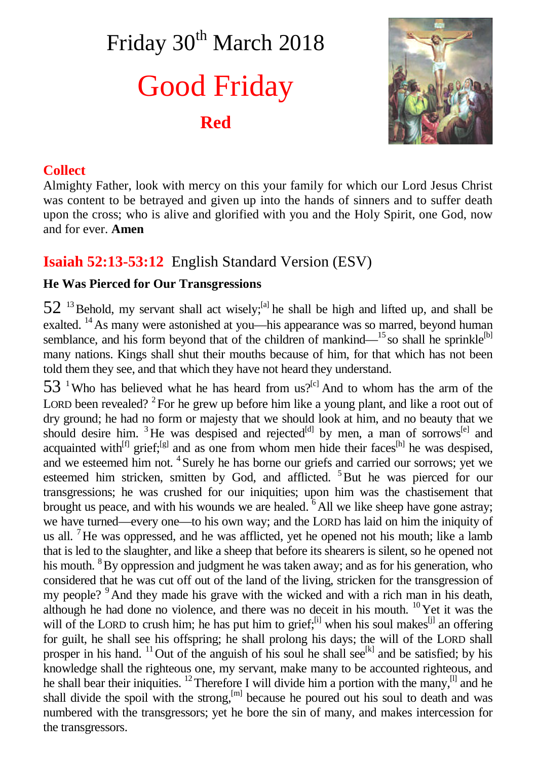# Friday 30<sup>th</sup> March 2018 Good Friday **Red**



## **Collect**

Almighty Father, look with mercy on this your family for which our Lord Jesus Christ was content to be betrayed and given up into the hands of sinners and to suffer death upon the cross; who is alive and glorified with you and the Holy Spirit, one God, now and for ever. **Amen**

# **Isaiah 52:13-53:12** English Standard Version (ESV)

### **He Was Pierced for Our Transgressions**

 $52<sup>13</sup>$  Behold, my servant shall act wisely;<sup>[a]</sup> he shall be high and lifted up, and shall be exalted. <sup>14</sup> As many were astonished at you—his appearance was so marred, beyond human semblance, and his form beyond that of the children of mankind— $^{15}$  so shall he sprinkle<sup>[b]</sup> many nations. Kings shall shut their mouths because of him, for that which has not been told them they see, and that which they have not heard they understand.

 $53$  <sup>1</sup>Who has believed what he has heard from us?<sup>[c]</sup> And to whom has the arm of the LORD been revealed?  $2^2$  For he grew up before him like a young plant, and like a root out of dry ground; he had no form or majesty that we should look at him, and no beauty that we should desire him. <sup>3</sup>He was despised and rejected<sup>[d]</sup> by men, a man of sorrows<sup>[e]</sup> and acquainted with<sup>[f]</sup> grief;<sup>[g]</sup> and as one from whom men hide their faces<sup>[h]</sup> he was despised, and we esteemed him not. <sup>4</sup> Surely he has borne our griefs and carried our sorrows; yet we esteemed him stricken, smitten by God, and afflicted. <sup>5</sup>But he was pierced for our transgressions; he was crushed for our iniquities; upon him was the chastisement that brought us peace, and with his wounds we are healed.  $6$  All we like sheep have gone astray; we have turned—every one—to his own way; and the LORD has laid on him the iniquity of us all.  $\mu$  He was oppressed, and he was afflicted, yet he opened not his mouth; like a lamb that is led to the slaughter, and like a sheep that before its shearers is silent, so he opened not his mouth. <sup>8</sup>By oppression and judgment he was taken away; and as for his generation, who considered that he was cut off out of the land of the living, stricken for the transgression of my people? <sup>9</sup>And they made his grave with the wicked and with a rich man in his death, although he had done no violence, and there was no deceit in his mouth.  $^{10}$  Yet it was the will of the LORD to crush him; he has put him to grief; $^{[i]}$  when his soul makes<sup>[j]</sup> an offering for guilt, he shall see his offspring; he shall prolong his days; the will of the LORD shall prosper in his hand. <sup>11</sup>Out of the anguish of his soul he shall see<sup>[k]</sup> and be satisfied; by his knowledge shall the righteous one, my servant, make many to be accounted righteous, and he shall bear their iniquities. <sup>12</sup> Therefore I will divide him a portion with the many,<sup>[1]</sup> and he shall divide the spoil with the strong, $[m]$  because he poured out his soul to death and was numbered with the transgressors; yet he bore the sin of many, and makes intercession for the transgressors.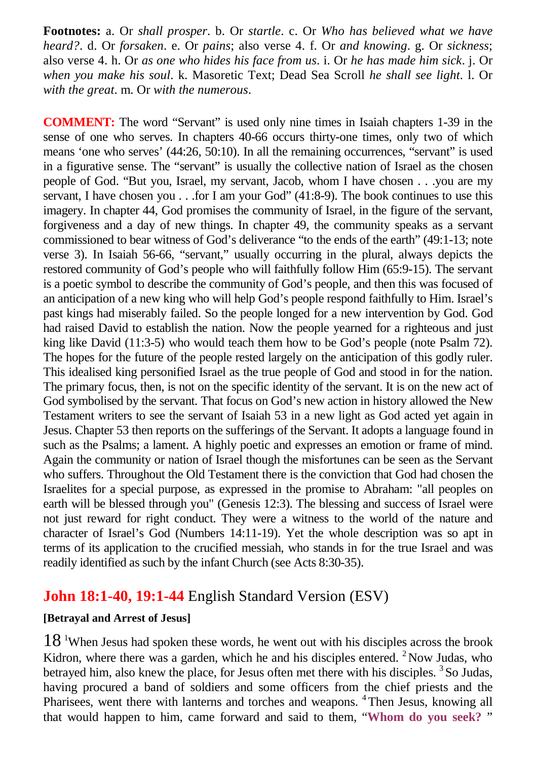**Footnotes:** a. Or *shall prosper*. b. Or *startle*. c. Or *Who has believed what we have heard?*. d. Or *forsaken*. e. Or *pains*; also verse 4. f. Or *and knowing*. g. Or *sickness*; also verse 4. h. Or *as one who hides his face from us*. i. Or *he has made him sick*. j. Or *when you make his soul*. k. Masoretic Text; Dead Sea Scroll *he shall see light*. l. Or *with the great*. m. Or *with the numerous*.

**COMMENT:** The word "Servant" is used only nine times in Isaiah chapters 1-39 in the sense of one who serves. In chapters 40-66 occurs thirty-one times, only two of which means 'one who serves' (44:26, 50:10). In all the remaining occurrences, "servant" is used in a figurative sense. The "servant" is usually the collective nation of Israel as the chosen people of God. "But you, Israel, my servant, Jacob, whom I have chosen . . .you are my servant, I have chosen you . . .for I am your God" (41:8-9). The book continues to use this imagery. In chapter 44, God promises the community of Israel, in the figure of the servant, forgiveness and a day of new things. In chapter 49, the community speaks as a servant commissioned to bear witness of God's deliverance "to the ends of the earth" (49:1-13; note verse 3). In Isaiah 56-66, "servant," usually occurring in the plural, always depicts the restored community of God's people who will faithfully follow Him (65:9-15). The servant is a poetic symbol to describe the community of God's people, and then this was focused of an anticipation of a new king who will help God's people respond faithfully to Him. Israel's past kings had miserably failed. So the people longed for a new intervention by God. God had raised David to establish the nation. Now the people yearned for a righteous and just king like David (11:3-5) who would teach them how to be God's people (note Psalm 72). The hopes for the future of the people rested largely on the anticipation of this godly ruler. This idealised king personified Israel as the true people of God and stood in for the nation. The primary focus, then, is not on the specific identity of the servant. It is on the new act of God symbolised by the servant. That focus on God's new action in history allowed the New Testament writers to see the servant of Isaiah 53 in a new light as God acted yet again in Jesus. Chapter 53 then reports on the sufferings of the Servant. It adopts a language found in such as the Psalms; a lament. A highly poetic and expresses an emotion or frame of mind. Again the community or nation of Israel though the misfortunes can be seen as the Servant who suffers. Throughout the Old Testament there is the conviction that God had chosen the Israelites for a special purpose, as expressed in the promise to Abraham: "all peoples on earth will be blessed through you" (Genesis 12:3). The blessing and success of Israel were not just reward for right conduct. They were a witness to the world of the nature and character of Israel's God (Numbers 14:11-19). Yet the whole description was so apt in terms of its application to the crucified messiah, who stands in for the true Israel and was readily identified as such by the infant Church (see Acts 8:30-35).

# **John 18:1-40, 19:1-44** English Standard Version (ESV)

#### **[Betrayal and Arrest of Jesus]**

 $18<sup>1</sup>$ When Jesus had spoken these words, he went out with his disciples across the brook Kidron, where there was a garden, which he and his disciples entered. <sup>2</sup> Now Judas, who betrayed him, also knew the place, for Jesus often met there with his disciples.<sup>3</sup> So Judas, having procured a band of soldiers and some officers from the chief priests and the Pharisees, went there with lanterns and torches and weapons. <sup>4</sup>Then Jesus, knowing all that would happen to him, came forward and said to them, "**Whom do you seek?** "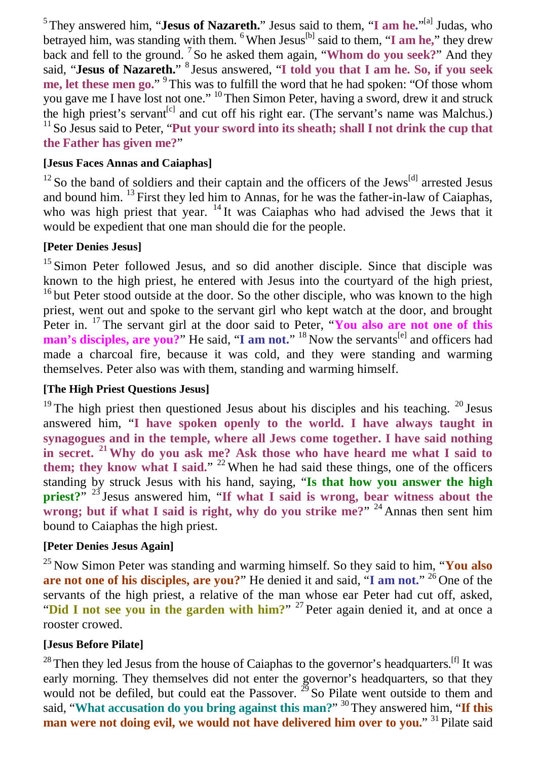<sup>5</sup> They answered him, "**Jesus of Nazareth.**" Jesus said to them, "I am he."<sup>[a]</sup> Judas, who betrayed him, was standing with them. <sup>6</sup>When Jesus<sup>[b]</sup> said to them, "I am he," they drew back and fell to the ground. <sup>7</sup> So he asked them again, "**Whom do you seek?**" And they said, "**Jesus of Nazareth.**" 8 Jesus answered, "**I told you that I am he. So, if you seek me, let these men go.**" <sup>9</sup>This was to fulfill the word that he had spoken: "Of those whom you gave me I have lost not one." <sup>10</sup>Then Simon Peter, having a sword, drew it and struck the high priest's servant<sup>[c]</sup> and cut off his right ear. (The servant's name was Malchus.) <sup>11</sup> So Jesus said to Peter, "Put your sword into its sheath; shall I not drink the cup that **the Father has given me?**"

#### **[Jesus Faces Annas and Caiaphas]**

 $12$  So the band of soldiers and their captain and the officers of the Jews<sup>[d]</sup> arrested Jesus and bound him. <sup>13</sup> First they led him to Annas, for he was the father-in-law of Caiaphas, who was high priest that year. <sup>14</sup> It was Caiaphas who had advised the Jews that it would be expedient that one man should die for the people.

#### **[Peter Denies Jesus]**

<sup>15</sup> Simon Peter followed Jesus, and so did another disciple. Since that disciple was known to the high priest, he entered with Jesus into the courtyard of the high priest, <sup>16</sup> but Peter stood outside at the door. So the other disciple, who was known to the high priest, went out and spoke to the servant girl who kept watch at the door, and brought Peter in. <sup>17</sup> The servant girl at the door said to Peter, "You also are not one of this man's disciples, are you?" He said, "I am not." <sup>18</sup> Now the servants<sup>[e]</sup> and officers had made a charcoal fire, because it was cold, and they were standing and warming themselves. Peter also was with them, standing and warming himself.

#### **[The High Priest Questions Jesus]**

<sup>19</sup> The high priest then questioned Jesus about his disciples and his teaching. <sup>20</sup> Jesus answered him, "**I have spoken openly to the world. I have always taught in synagogues and in the temple, where all Jews come together. I have said nothing in secret. <sup>21</sup> Why do you ask me? Ask those who have heard me what I said to them; they know what I said.**" <sup>22</sup> When he had said these things, one of the officers standing by struck Jesus with his hand, saying, "**Is that how you answer the high priest?**" <sup>23</sup> Jesus answered him, "**If what I said is wrong, bear witness about the wrong; but if what I said is right, why do you strike me?**" <sup>24</sup> Annas then sent him bound to Caiaphas the high priest.

#### **[Peter Denies Jesus Again]**

<sup>25</sup> Now Simon Peter was standing and warming himself. So they said to him, "**You also are not one of his disciples, are you?**" He denied it and said, "**I am not.**" <sup>26</sup> One of the servants of the high priest, a relative of the man whose ear Peter had cut off, asked, "Did I not see you in the garden with him?" <sup>27</sup> Peter again denied it, and at once a rooster crowed.

#### **[Jesus Before Pilate]**

 $^{28}$  Then they led Jesus from the house of Caiaphas to the governor's headquarters.<sup>[f]</sup> It was early morning. They themselves did not enter the governor's headquarters, so that they would not be defiled, but could eat the Passover.  $^{29}$  So Pilate went outside to them and said, "What accusation do you bring against this man?" <sup>30</sup> They answered him, "If this **man were not doing evil, we would not have delivered him over to you.**" <sup>31</sup> Pilate said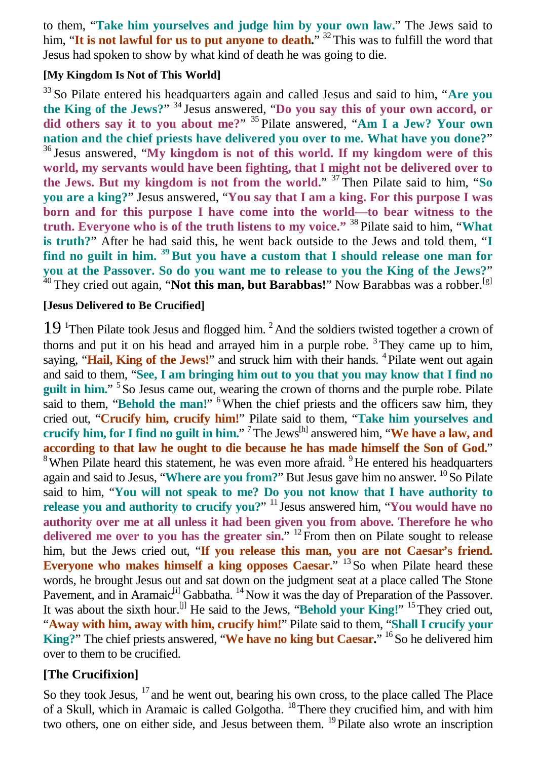to them, "**Take him yourselves and judge him by your own law.**" The Jews said to him, "It is not lawful for us to put anyone to death." <sup>32</sup> This was to fulfill the word that Jesus had spoken to show by what kind of death he was going to die.

#### **[My Kingdom Is Not of This World]**

<sup>33</sup> So Pilate entered his headquarters again and called Jesus and said to him, "**Are you the King of the Jews?**" <sup>34</sup> Jesus answered, "**Do you say this of your own accord, or did others say it to you about me?**" <sup>35</sup> Pilate answered, "**Am I a Jew? Your own nation and the chief priests have delivered you over to me. What have you done?**" <sup>36</sup> Jesus answered, "**My kingdom is not of this world. If my kingdom were of this world, my servants would have been fighting, that I might not be delivered over to the Jews. But my kingdom is not from the world.**" <sup>37</sup> Then Pilate said to him, "**So you are a king?**" Jesus answered, "**You say that I am a king. For this purpose I was born and for this purpose I have come into the world—to bear witness to the truth. Everyone who is of the truth listens to my voice."** <sup>38</sup> Pilate said to him, "**What is truth?**" After he had said this, he went back outside to the Jews and told them, "**I find no guilt in him. <sup>39</sup> But you have a custom that I should release one man for you at the Passover. So do you want me to release to you the King of the Jews?**" <sup>40</sup> They cried out again, "**Not this man, but Barabbas!**" Now Barabbas was a robber.<sup>[g]</sup>

#### **[Jesus Delivered to Be Crucified]**

 $19<sup>1</sup>$ Then Pilate took Jesus and flogged him.<sup>2</sup> And the soldiers twisted together a crown of thorns and put it on his head and arrayed him in a purple robe.  $3$  They came up to him, saying, "Hail, King of the Jews!" and struck him with their hands. <sup>4</sup> Pilate went out again and said to them, "**See, I am bringing him out to you that you may know that I find no** guilt in him." <sup>5</sup> So Jesus came out, wearing the crown of thorns and the purple robe. Pilate said to them, "Behold the man!" <sup>6</sup>When the chief priests and the officers saw him, they cried out, "**Crucify him, crucify him!**" Pilate said to them, "**Take him yourselves and crucify him, for I find no guilt in him.**" <sup>7</sup>The Jews[h] answered him, "**We have a law, and according to that law he ought to die because he has made himself the Son of God.**"  $8$ When Pilate heard this statement, he was even more afraid.  $9$ He entered his headquarters again and said to Jesus, "Where are you from?" But Jesus gave him no answer. <sup>10</sup>So Pilate said to him, "**You will not speak to me? Do you not know that I have authority to release you and authority to crucify you?**" <sup>11</sup> Jesus answered him, "**You would have no authority over me at all unless it had been given you from above. Therefore he who** delivered me over to you has the greater sin." <sup>12</sup> From then on Pilate sought to release him, but the Jews cried out, "**If you release this man, you are not Caesar's friend.** Everyone who makes himself a king opposes Caesar." <sup>13</sup>So when Pilate heard these words, he brought Jesus out and sat down on the judgment seat at a place called The Stone Pavement, and in Aramaic<sup>[i]</sup> Gabbatha. <sup>14</sup> Now it was the day of Preparation of the Passover. It was about the sixth hour.<sup>[j]</sup> He said to the Jews, "Behold your King!" <sup>15</sup> They cried out, "**Away with him, away with him, crucify him!**" Pilate said to them, "**Shall I crucify your** King?" The chief priests answered, "We have no king but Caesar." <sup>16</sup>So he delivered him over to them to be crucified.

#### **[The Crucifixion]**

So they took Jesus, <sup>17</sup> and he went out, bearing his own cross, to the place called The Place of a Skull, which in Aramaic is called Golgotha. <sup>18</sup>There they crucified him, and with him two others, one on either side, and Jesus between them. <sup>19</sup>Pilate also wrote an inscription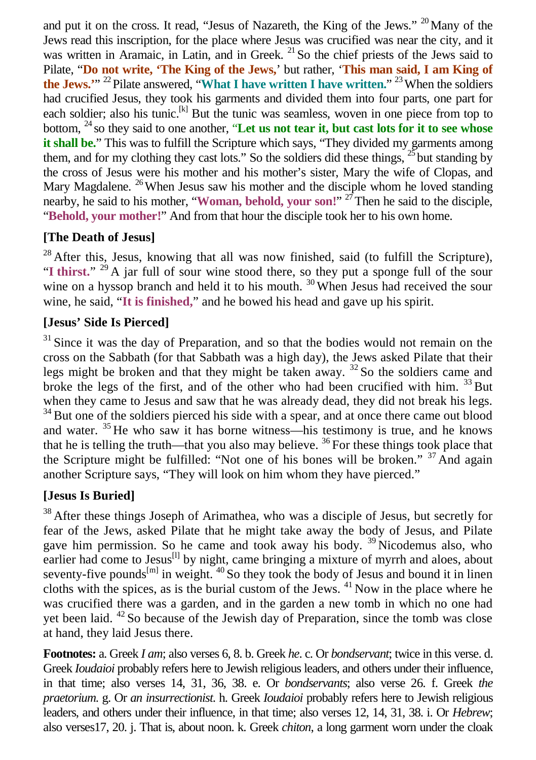and put it on the cross. It read, "Jesus of Nazareth, the King of the Jews."  $^{20}$ Many of the Jews read this inscription, for the place where Jesus was crucified was near the city, and it was written in Aramaic, in Latin, and in Greek. <sup>21</sup> So the chief priests of the Jews said to Pilate, "**Do not write, 'The King of the Jews,**' but rather, '**This man said, I am King of** the Jews."<sup>22</sup> Pilate answered, "What I have written I have written." <sup>23</sup> When the soldiers had crucified Jesus, they took his garments and divided them into four parts, one part for each soldier; also his tunic.<sup>[k]</sup> But the tunic was seamless, woven in one piece from top to bottom, <sup>24</sup> so they said to one another, "**Let us not tear it, but cast lots for it to see whose it shall be.**" This was to fulfill the Scripture which says, "They divided my garments among them, and for my clothing they cast lots." So the soldiers did these things,  $^{25}$  but standing by the cross of Jesus were his mother and his mother's sister, Mary the wife of Clopas, and Mary Magdalene. <sup>26</sup> When Jesus saw his mother and the disciple whom he loved standing nearby, he said to his mother, "Woman, behold, your son!"<sup>27</sup>Then he said to the disciple, "**Behold, your mother!**" And from that hour the disciple took her to his own home.

## **[The Death of Jesus]**

 $28$  After this, Jesus, knowing that all was now finished, said (to fulfill the Scripture), "I thirst." <sup>29</sup> A jar full of sour wine stood there, so they put a sponge full of the sour wine on a hyssop branch and held it to his mouth.  $30$  When Jesus had received the sour wine, he said, "**It is finished,**" and he bowed his head and gave up his spirit.

## **[Jesus' Side Is Pierced]**

 $31$  Since it was the day of Preparation, and so that the bodies would not remain on the cross on the Sabbath (for that Sabbath was a high day), the Jews asked Pilate that their legs might be broken and that they might be taken away. <sup>32</sup> So the soldiers came and broke the legs of the first, and of the other who had been crucified with him. <sup>33</sup> But when they came to Jesus and saw that he was already dead, they did not break his legs. <sup>34</sup> But one of the soldiers pierced his side with a spear, and at once there came out blood and water.  $35$  He who saw it has borne witness—his testimony is true, and he knows that he is telling the truth—that you also may believe.  $36$  For these things took place that the Scripture might be fulfilled: "Not one of his bones will be broken." <sup>37</sup> And again another Scripture says, "They will look on him whom they have pierced."

## **[Jesus Is Buried]**

<sup>38</sup> After these things Joseph of Arimathea, who was a disciple of Jesus, but secretly for fear of the Jews, asked Pilate that he might take away the body of Jesus, and Pilate gave him permission. So he came and took away his body. <sup>39</sup> Nicodemus also, who earlier had come to Jesus<sup>[1]</sup> by night, came bringing a mixture of myrrh and aloes, about seventy-five pounds<sup>[m]</sup> in weight.  $40$  So they took the body of Jesus and bound it in linen cloths with the spices, as is the burial custom of the Jews.  $41$  Now in the place where he was crucified there was a garden, and in the garden a new tomb in which no one had yet been laid.  $42$  So because of the Jewish day of Preparation, since the tomb was close at hand, they laid Jesus there.

**Footnotes:** a. Greek *I am*; also verses 6, 8. b. Greek *he*. c. Or *bondservant*; twice in this verse. d. Greek *Ioudaioi* probably refers here to Jewish religious leaders, and others under their influence, in that time; also verses 14, 31, 36, 38. e. Or *bondservants*; also verse 26. f. Greek *the praetorium*. g. Or *an insurrectionist*. h. Greek *Ioudaioi* probably refers here to Jewish religious leaders, and others under their influence, in that time; also verses 12, 14, 31, 38. i. Or *Hebrew*; also verses17, 20. j. That is, about noon. k. Greek *chiton*, a long garment worn under the cloak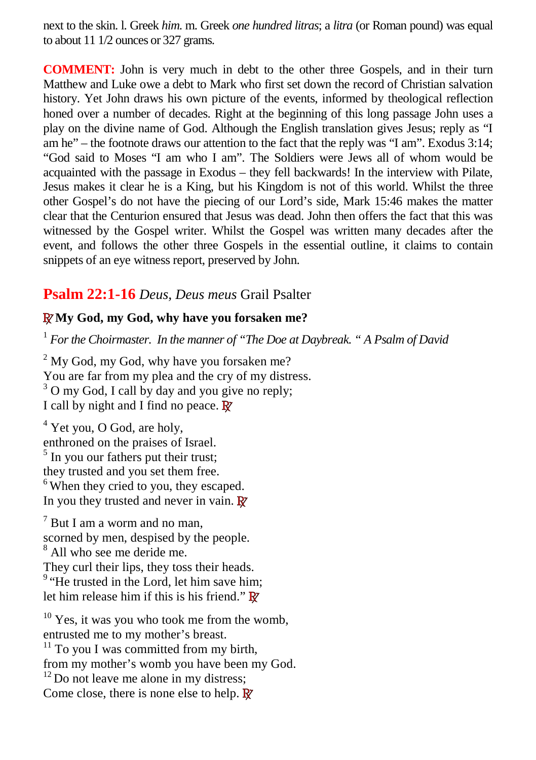next to the skin. l. Greek *him*. m. Greek *one hundred litras*; a *litra* (or Roman pound) was equal to about 11 1/2 ounces or 327 grams.

**COMMENT:** John is very much in debt to the other three Gospels, and in their turn Matthew and Luke owe a debt to Mark who first set down the record of Christian salvation history. Yet John draws his own picture of the events, informed by theological reflection honed over a number of decades. Right at the beginning of this long passage John uses a play on the divine name of God. Although the English translation gives Jesus; reply as "I am he" – the footnote draws our attention to the fact that the reply was "I am". Exodus 3:14; "God said to Moses "I am who I am". The Soldiers were Jews all of whom would be acquainted with the passage in Exodus – they fell backwards! In the interview with Pilate, Jesus makes it clear he is a King, but his Kingdom is not of this world. Whilst the three other Gospel's do not have the piecing of our Lord's side, Mark 15:46 makes the matter clear that the Centurion ensured that Jesus was dead. John then offers the fact that this was witnessed by the Gospel writer. Whilst the Gospel was written many decades after the event, and follows the other three Gospels in the essential outline, it claims to contain snippets of an eye witness report, preserved by John.

# **Psalm 22:1-16** *Deus, Deus meus* Grail Psalter

## **RMy God, my God, why have you forsaken me?**

1 *For the Choirmaster. In the manner of "The Doe at Daybreak. " A Psalm of David*

 $2^2$  My God, my God, why have you forsaken me? You are far from my plea and the cry of my distress. <sup>3</sup> O my God, I call by day and you give no reply; I call by night and I find no peace. **R**

<sup>4</sup> Yet you, O God, are holy, enthroned on the praises of Israel. <sup>5</sup> In you our fathers put their trust; they trusted and you set them free. <sup>6</sup> When they cried to you, they escaped. In you they trusted and never in vain. **R**

 $7$  But I am a worm and no man, scorned by men, despised by the people. 8 All who see me deride me. They curl their lips, they toss their heads. <sup>9</sup> "He trusted in the Lord, let him save him; let him release him if this is his friend." **R**

<sup>10</sup> Yes, it was you who took me from the womb, entrusted me to my mother's breast.  $11$  To you I was committed from my birth, from my mother's womb you have been my God.  $12$  Do not leave me alone in my distress; Come close, there is none else to help. **R**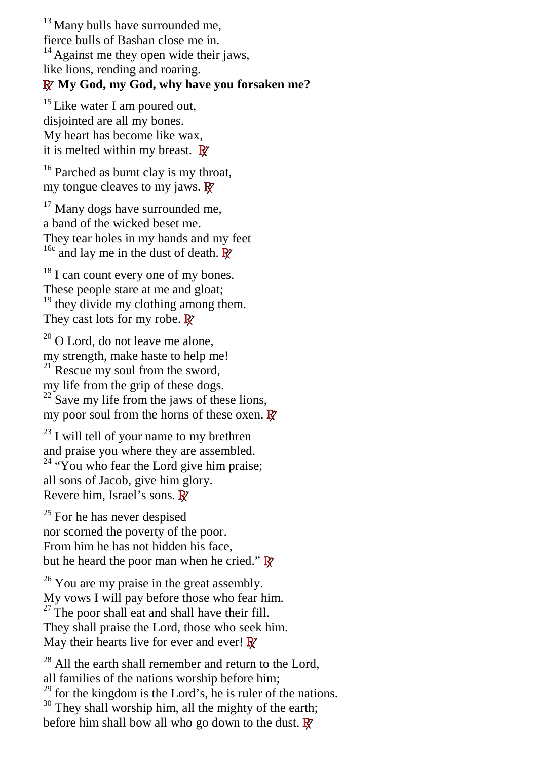<sup>13</sup> Many bulls have surrounded me, fierce bulls of Bashan close me in.  $14$  Against me they open wide their jaws, like lions, rending and roaring. **R My God, my God, why have you forsaken me?**

 $15$  Like water I am poured out, disjointed are all my bones. My heart has become like wax, it is melted within my breast. **R**

<sup>16</sup> Parched as burnt clay is my throat, my tongue cleaves to my jaws. **R**

<sup>17</sup> Many dogs have surrounded me, a band of the wicked beset me. They tear holes in my hands and my feet <sup>16c</sup> and lay me in the dust of death. **R** 

<sup>18</sup> I can count every one of my bones. These people stare at me and gloat;  $19$  they divide my clothing among them. They cast lots for my robe. **R**

<sup>20</sup> O Lord, do not leave me alone, my strength, make haste to help me!  $21$  Rescue my soul from the sword, my life from the grip of these dogs.  $22$  Save my life from the jaws of these lions, my poor soul from the horns of these oxen. **R**

 $23$  I will tell of your name to my brethren and praise you where they are assembled.  $24$  "You who fear the Lord give him praise; all sons of Jacob, give him glory. Revere him, Israel's sons. **R**

 $25$  For he has never despised nor scorned the poverty of the poor. From him he has not hidden his face, but he heard the poor man when he cried." **R**

 $26$  You are my praise in the great assembly. My vows I will pay before those who fear him.  $27$  The poor shall eat and shall have their fill. They shall praise the Lord, those who seek him. May their hearts live for ever and ever! **R**

 $^{28}$  All the earth shall remember and return to the Lord, all families of the nations worship before him;  $29$  for the kingdom is the Lord's, he is ruler of the nations. <sup>30</sup> They shall worship him, all the mighty of the earth; before him shall bow all who go down to the dust. **R**